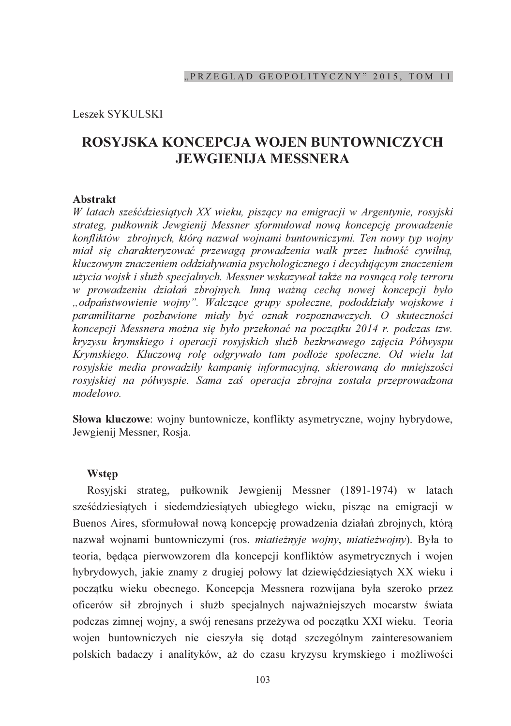Leszek SYKULSKI

# ROSYJSKA KONCEPCJA WOJEN BUNTOWNICZYCH **JEWGIENIJA MESSNERA**

#### **Abstrakt**

W latach sześćdziesiątych XX wieku, piszący na emigracji w Argentynie, rosyjski strateg, pułkownik Jewgienij Messner sformułował nową koncepcję prowadzenie konfliktów zbrojnych, którą nazwał wojnami buntowniczymi. Ten nowy typ wojny miał się charakteryzować przewagą prowadzenia walk przez ludność cywilną, kluczowym znaczeniem oddziaływania psychologicznego i decydującym znaczeniem użycia wojsk i służb specjalnych. Messner wskazywał także na rosnącą rolę terroru w prowadzeniu działań zbrojnych. Inną ważną cechą nowej koncepcji było "odpaństwowienie wojny". Walczące grupy społeczne, pododdziały wojskowe i paramilitarne pozbawione miały być oznak rozpoznawczych. O skuteczności koncepcji Messnera można się było przekonać na początku 2014 r. podczas tzw. kryzysu krymskiego i operacji rosyjskich służb bezkrwawego zajęcia Półwyspu Krymskiego. Kluczową rolę odgrywało tam podłoże społeczne. Od wielu lat rosyjskie media prowadziły kampanię informacyjną, skierowaną do mniejszości rosyjskiej na półwyspie. Sama zaś operacja zbrojna została przeprowadzona modelowo

Słowa kluczowe: wojny buntownicze, konflikty asymetryczne, wojny hybrydowe, Jewgienij Messner, Rosja.

### **Wstep**

Rosyjski strateg, pułkownik Jewgienii Messner (1891-1974) w latach sześćdziesiatych i siedemdziesiatych ubiegłego wieku, piszac na emigracji w Buenos Aires, sformułował nową koncepcję prowadzenia działań zbrojnych, którą nazwał wojnami buntowniczymi (ros. miatieżnyje wojny, miatieżwojny). Była to teoria, bedaca pierwowzorem dla koncepcji konfliktów asymetrycznych i wojen hybrydowych, jakie znamy z drugiej połowy lat dziewięćdziesiątych XX wieku i początku wieku obecnego. Koncepcja Messnera rozwijana była szeroko przez oficerów sił zbrojnych i służb specjalnych najważniejszych mocarstw świata podczas zimnej wojny, a swój renesans przeżywa od poczatku XXI wieku. Teoria wojen buntowniczych nie cieszyła się dotąd szczególnym zainteresowaniem polskich badaczy i analityków, aż do czasu kryzysu krymskiego i możliwości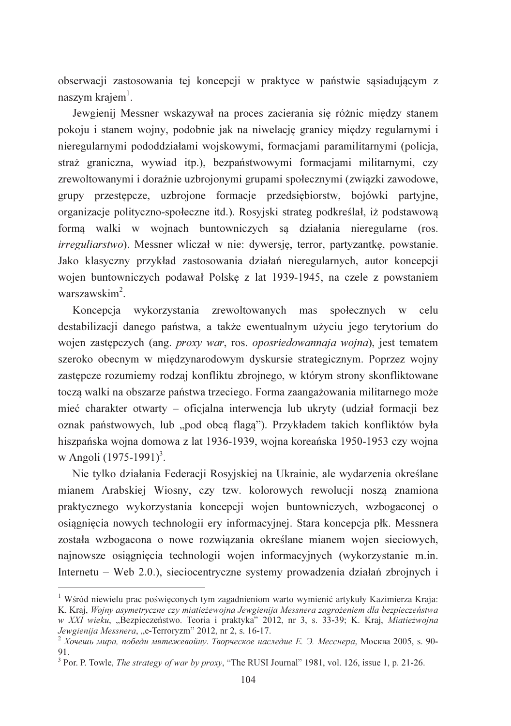obserwacji zastosowania tej koncepcji w praktyce w państwie sasiadującym z naszym krajem<sup>1</sup>.

Jewgienij Messner wskazywał na proces zacierania się różnic między stanem pokoju i stanem wojny, podobnie jak na niwelacje granicy miedzy regularnymi i nieregularnymi pododdziałami wojskowymi, formacjami paramilitarnymi (policja, straż graniczna, wywiad itp.), bezpaństwowymi formacjami militarnymi, czy zrewoltowanymi i doraźnie uzbrojonymi grupami społecznymi (zwiazki zawodowe, grupy przestępcze, uzbrojone formację przedsiębiorstw, bojówki partyjne, organizacje polityczno-społeczne itd.). Rosyjski strateg podkreślał, iż podstawową forma walki w wojnach buntowniczych sa działania nieregularne (ros. *irreguliarstwo*). Messner wliczał w nie: dywersie, terror, partyzantke, powstanie. Jako klasyczny przykład zastosowania działań nieregularnych, autor koncepcji wojen buntowniczych podawał Polskę z lat 1939-1945, na czele z powstaniem warszawskim<sup>2</sup>

Koncepcja wykorzystania zrewoltowanych mas społecznych w celu destabilizacji danego państwa, a także ewentualnym użyciu jego terytorium do wojen zastępczych (ang. proxy war, ros. oposriedowannaja wojna), jest tematem szeroko obecnym w międzynarodowym dyskursie strategicznym. Poprzez wojny zastepcze rozumiemy rodzaj konfliktu zbrojnego, w którym strony skonfliktowane toczą walki na obszarze państwa trzeciego. Forma zaangażowania militarnego może mieć charakter otwarty – oficjalna interwencja lub ukryty (udział formacji bez oznak państwowych, lub "pod obcą flagą"). Przykładem takich konfliktów była hiszpańska wojna domowa z lat 1936-1939, wojna koreańska 1950-1953 czy wojna w Angoli  $(1975-1991)^3$ .

Nie tylko działania Federacji Rosyjskiej na Ukrainie, ale wydarzenia określane mianem Arabskiej Wiosny, czy tzw. kolorowych rewolucji noszą znamiona praktycznego wykorzystania koncepcji wojen buntowniczych, wzbogaconej o osiągnięcia nowych technologii ery informacyjnej. Stara koncepcja płk. Messnera została wzbogacona o nowe rozwiązania określane mianem wojen sieciowych, najnowsze osiągnięcia technologii wojen informacyjnych (wykorzystanie m.in. Internetu – Web 2.0.), sieciocentryczne systemy prowadzenia działań zbrojnych i

<sup>&</sup>lt;sup>1</sup> Wśród niewielu prac poświęconych tym zagadnieniom warto wymienić artykuły Kazimierza Kraja: K. Kraj, Wojny asymetryczne czy miatieżewojna Jewgienija Messnera zagrożeniem dla bezpieczeństwa w XXI wieku, "Bezpieczeństwo. Teoria i praktyka" 2012, nr 3, s. 33-39; K. Kraj, Miatieżwojna Jewgienija Messnera, "e-Terroryzm" 2012, nr 2, s. 16-17.

<sup>&</sup>lt;sup>2</sup> Хочешь мира, победи мятежевойну. Творческое наследие Е. Э. Месснера, Москва 2005, s. 90-91.

<sup>&</sup>lt;sup>3</sup> Por. P. Towle, *The strategy of war by proxy*, "The RUSI Journal" 1981, vol. 126, issue 1, p. 21-26.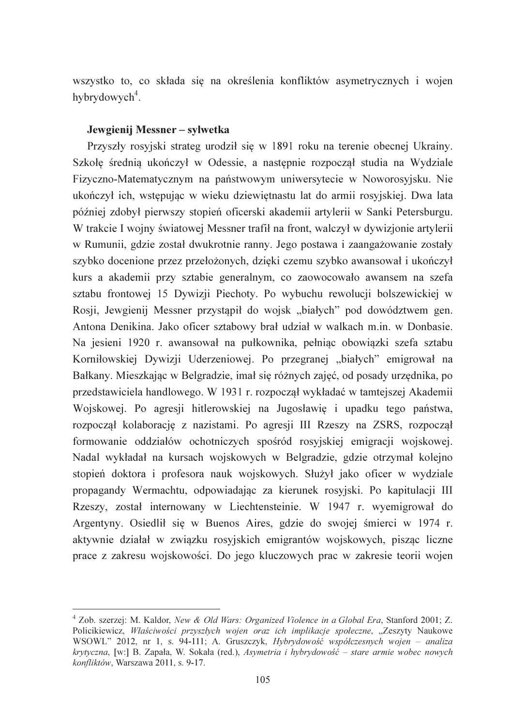wszystko to, co składa się na określenia konfliktów asymetrycznych i wojen hybrydowych<sup>4</sup>.

#### Jewgienij Messner – svlwetka

Przyszły rosyjski strateg urodził się w 1891 roku na terenie obecnej Ukrainy. Szkołę średnią ukończył w Odessie, a następnie rozpoczął studia na Wydziale Fizyczno-Matematycznym na państwowym uniwersytecie w Noworosyjsku. Nie ukończył ich, wstepując w wieku dziewietnastu lat do armii rosyjskiej. Dwa lata później zdobył pierwszy stopień oficerski akademii artylerii w Sanki Petersburgu. W trakcie I wojny światowej Messner trafił na front, walczył w dywizjonie artylerii w Rumunii, gdzie został dwukrotnie ranny. Jego postawa i zaangażowanie zostały szybko docenione przez przełożonych, dzięki czemu szybko awansował i ukończył kurs a akademii przy sztabie generalnym, co zaowocowało awansem na szefa sztabu frontowej 15 Dywizji Piechoty. Po wybuchu rewolucji bolszewickiej w Rosji, Jewgienij Messner przystąpił do wojsk "białych" pod dowództwem gen. Antona Denikina. Jako oficer sztabowy brał udział w walkach m.in. w Donbasie. Na jesieni 1920 r. awansował na pułkownika, pełniąc obowiązki szefa sztabu Korniłowskiej Dywizji Uderzeniowej. Po przegranej "białych" emigrował na Bałkany. Mieszkając w Belgradzie, imał się różnych zajęć, od posady urzednika, po przedstawiciela handlowego. W 1931 r. rozpoczął wykładać w tamtejszej Akademii Wojskowej. Po agresji hitlerowskiej na Jugosławie i upadku tego państwa, rozpoczął kolaborację z nazistami. Po agresji III Rzeszy na ZSRS, rozpoczął formowanie oddziałów ochotniczych spośród rosyjskiej emigracji wojskowej. Nadal wykładał na kursach wojskowych w Belgradzie, gdzie otrzymał kolejno stopień doktora i profesora nauk wojskowych. Służył jako oficer w wydziale propagandy Wermachtu, odpowiadając za kierunek rosyjski. Po kapitulacji III Rzeszy, został internowany w Liechtensteinie. W 1947 r. wyemigrował do Argentyny. Osiedlił się w Buenos Aires, gdzie do swojej śmierci w 1974 r. aktywnie działał w związku rosyjskich emigrantów wojskowych, pisząc liczne prace z zakresu wojskowości. Do jego kluczowych prac w zakresie teorii wojen

<sup>&</sup>lt;sup>4</sup> Zob. szerzej: M. Kaldor, New & Old Wars: Organized Violence in a Global Era, Stanford 2001; Z. Policikiewicz, Właściwości przyszłych wojen oraz ich implikacje społeczne, "Zeszyty Naukowe WSOWL" 2012, nr 1, s. 94-111; A. Gruszczyk, Hybrydowość współczesnych wojen – analiza krytyczna, [w:] B. Zapała, W. Sokała (red.), Asymetria i hybrydowość – stare armie wobec nowych konfliktów, Warszawa 2011, s. 9-17.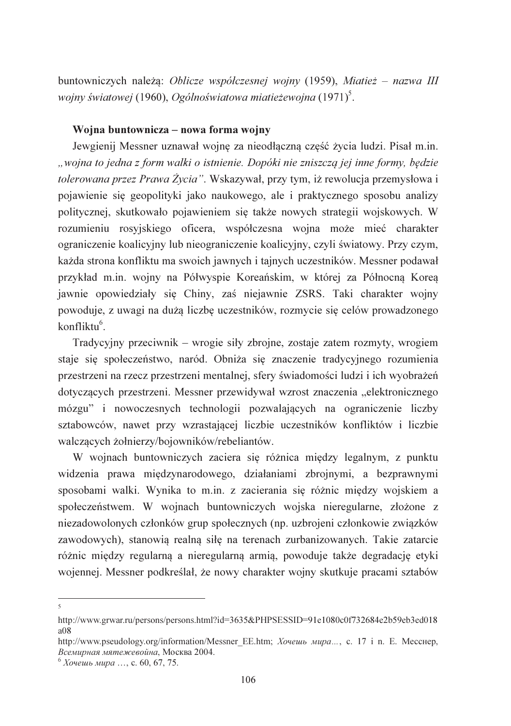buntowniczych należa: Oblicze współczesnej wojny (1959), Miatież – nazwa III wojny światowej (1960), Ogólnoświatowa miatieżewojna (1971)<sup>5</sup>.

#### Wojna buntownicza – nowa forma wojny

Jewgienij Messner uznawał wojnę za nieodłączną część życia ludzi. Pisał m.in. "wojna to jedna z form walki o istnienie. Dopóki nie zniszczą jej inne formy, będzie tolerowana przez Prawa Życia". Wskazywał, przy tym, iż rewolucja przemysłowa i pojawienie się geopolityki jako naukowego, ale i praktycznego sposobu analizy politycznej, skutkowało pojawieniem się także nowych strategii wojskowych. W rozumieniu rosviskiego oficera, współczesna wojna może mieć charakter ograniczenie koalicyjny lub nieograniczenie koalicyjny, czyli światowy. Przy czym, każda strona konfliktu ma swoich jawnych i tajnych uczestników. Messner podawał przykład m.in. wojny na Półwyspie Koreańskim, w której za Północna Korea jawnie opowiedziały się Chiny, zaś niejawnie ZSRS. Taki charakter wojny powoduje, z uwagi na dużą liczbę uczestników, rozmycie się celów prowadzonego  $k$ onfliktu $<sup>6</sup>$ </sup>

Tradycyjny przeciwnik – wrogie siły zbrojne, zostaje zatem rozmyty, wrogiem staje się społeczeństwo, naród. Obniża się znaczenie tradycyjnego rozumienia przestrzeni na rzecz przestrzeni mentalnej, sfery świadomości ludzi i ich wyobrażeń dotyczących przestrzeni. Messner przewidywał wzrost znaczenia "elektronicznego" mózgu" i nowoczesnych technologii pozwalających na ograniczenie liczby sztabowców, nawet przy wzrastającej liczbie uczestników konfliktów i liczbie walczących żołnierzy/bojowników/rebeliantów.

W wojnach buntowniczych zaciera się różnica między legalnym, z punktu widzenia prawa międzynarodowego, działaniami zbrojnymi, a bezprawnymi sposobami walki. Wynika to m.in. z zacierania się różnic między wojskiem a społeczeństwem. W wojnach buntowniczych wojska nieregularne, złożone z niezadowolonych członków grup społecznych (np. uzbrojeni członkowie związków zawodowych), stanowią realną siłę na terenach zurbanizowanych. Takie zatarcie różnic między regularną a nieregularną armią, powoduje także degradację etyki wojennej. Messner podkreślał, że nowy charakter wojny skutkuje pracami sztabów

 $\overline{\mathbf{a}}$ 

http://www.grwar.ru/persons/persons.html?id=3635&PHPSESSID=91e1080c0f732684e2b59eb3ed018  $a08$ 

http://www.pseudology.org/information/Messner EE.htm; *Xoveuus Mupa...*, c. 17 i n. E. Mecchep, Всемирная мятежевойна, Москва 2004.

 $6$  Хочешь мира ..., с. 60, 67, 75.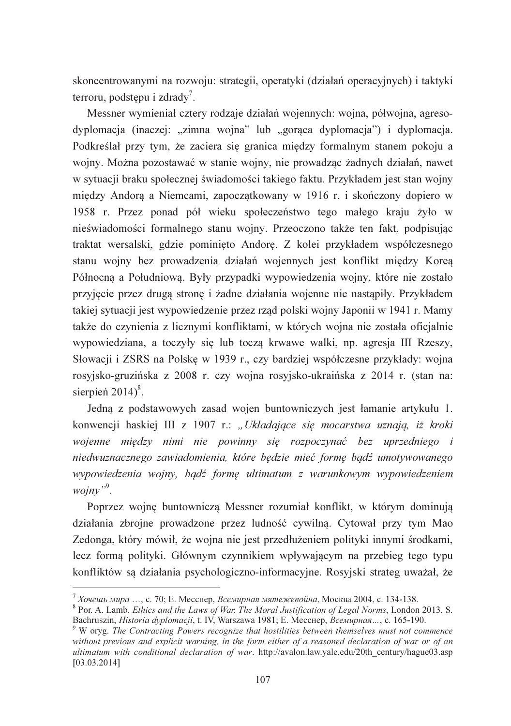skoncentrowanymi na rozwoju: strategii, operatyki (działań operacyjnych) i taktyki terroru, podstepu i zdrad $v^7$ .

Messner wymieniał cztery rodzaje działań wojennych: wojna, półwojna, agresodyplomacja (inaczej: "zimna wojna" lub "gorąca dyplomacja") i dyplomacja. Podkreślał przy tym, że zaciera się granica między formalnym stanem pokoju a wojny. Można pozostawać w stanie wojny, nie prowadząc żadnych działań, nawet w sytuacji braku społecznej świadomości takiego faktu. Przykładem jest stan wojny miedzy Andora a Niemcami, zapoczatkowany w 1916 r. i skończony dopiero w 1958 r. Przez ponad pół wieku społeczeństwo tego małego kraju żyło w nieświadomości formalnego stanu wojny. Przeoczono także ten fakt, podpisując traktat wersalski, gdzie pominięto Andorę. Z kolei przykładem współczesnego stanu wojny bez prowadzenia działań wojennych jest konflikt między Korea Północna a Południowa. Były przypadki wypowiedzenia wojny, które nie zostało przyjęcie przez drugą stronę i żadne działania wojenne nie nastąpiły. Przykładem takiej sytuacji jest wypowiedzenie przez rząd polski wojny Japonii w 1941 r. Mamy także do czynienia z licznymi konfliktami, w których wojna nie została oficjalnie wypowiedziana, a toczyły się lub toczą krwawe walki, np. agresia III Rzeszy, Słowacji i ZSRS na Polskę w 1939 r., czy bardziej współczesne przykłady: wojna rosyjsko-gruzińska z 2008 r. czy wojna rosyjsko-ukraińska z 2014 r. (stan na: sierpień  $2014$ <sup>8</sup>.

Jedną z podstawowych zasad wojen buntowniczych jest łamanie artykułu 1. konwencji haskiej III z 1907 r.: "Układające się mocarstwa uznają, iż kroki wojenne między nimi nie powinny się rozpoczynać bez uprzedniego i niedwuznacznego zawiadomienia, które będzie mieć formę bądź umotywowanego wypowiedzenia wojny, bądź formę ultimatum z warunkowym wypowiedzeniem woinv".

Poprzez wojnę buntowniczą Messner rozumiał konflikt, w którym dominują działania zbrojne prowadzone przez ludność cywilną. Cytował przy tym Mao Zedonga, który mówił, że wojna nie jest przedłużeniem polityki innymi środkami, lecz forma polityki. Głównym czynnikiem wpływającym na przebieg tego typu konfliktów są działania psychologiczno-informacyjne. Rosyjski strateg uważał, że

 $^7$  Хочешь мира ..., с. 70: Е. Месснер. *Всемирная мятежевойна*. Москва 2004. с. 134-138.

<sup>&</sup>lt;sup>8</sup> Por. A. Lamb, *Ethics and the Laws of War. The Moral Justification of Legal Norms*, London 2013. S. Bachruszin, Historia dyplomacji, t. IV, Warszawa 1981; Е. Месснер, Всемирная..., с. 165-190.

<sup>&</sup>lt;sup>9</sup> W oryg. The Contracting Powers recognize that hostilities between themselves must not commence without previous and explicit warning, in the form either of a reasoned declaration of war or of an ultimatum with conditional declaration of war. http://avalon.law.yale.edu/20th century/hague03.asp  $[03.03.2014]$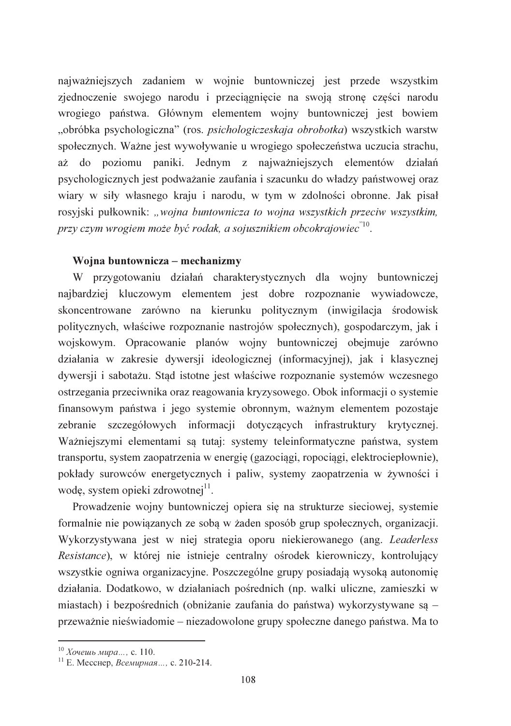najważniejszych zadaniem w wojnie buntowniczej jest przede wszystkim zjednoczenie swojego narodu i przeciągnięcie na swoją stronę części narodu wrogiego państwa. Głównym elementem wojny buntowniczej jest bowiem "obróbka psychologiczna" (ros. *psichologiczeskaja obrobotka*) wszystkich warstw społecznych. Ważne jest wywoływanie u wrogiego społeczeństwa uczucia strachu, aż do poziomu paniki. Jednym z najważniejszych elementów działań psychologicznych jest podważanie zaufania i szacunku do władzy państwowej oraz wiary w siły własnego kraju i narodu, w tym w zdolności obronne. Jak pisał rosyjski pułkownik: "wojna buntownicza to wojna wszystkich przeciw wszystkim, przy czym wrogiem może być rodak, a sojusznikiem obcokrajowiec<sup>"10</sup>.

## Wojna buntownicza – mechanizmy

W przygotowaniu działań charakterystycznych dla wojny buntowniczej najbardziej kluczowym elementem jest dobre rozpoznanie wywiadowcze, skoncentrowane zarówno na kierunku politycznym (inwigilacja środowisk politycznych, właściwe rozpoznanie nastrojów społecznych), gospodarczym, jak i wojskowym. Opracowanie planów wojny buntowniczej obejmuje zarówno działania w zakresie dywersji ideologicznej (informacyjnej), jak i klasycznej dywersji i sabotażu. Stad istotne jest właściwe rozpoznanie systemów wczesnego ostrzegania przeciwnika oraz reagowania kryzysowego. Obok informacji o systemie finansowym państwa i jego systemie obronnym, ważnym elementem pozostaje zebranie szczegółowych informacji dotyczących infrastruktury krytycznej. Ważniejszymi elementami są tutaj: systemy teleinformatyczne państwa, system transportu, system zaopatrzenia w energię (gazociągi, ropociągi, elektrociepłownie), pokłady surowców energetycznych i paliw, systemy zaopatrzenia w żywności i wodę, system opieki zdrowotnej<sup>11</sup>.

Prowadzenie wojny buntowniczej opiera się na strukturze sieciowej, systemie formalnie nie powiązanych ze sobą w żaden sposób grup społecznych, organizacji. Wykorzystywana jest w niej strategia oporu niekierowanego (ang. Leaderless Resistance), w której nie istnieje centralny ośrodek kierowniczy, kontrolujący wszystkie ogniwa organizacyjne. Poszczególne grupy posiadają wysoką autonomię działania. Dodatkowo, w działaniach pośrednich (np. walki uliczne, zamieszki w miastach) i bezpośrednich (obniżanie zaufania do państwa) wykorzystywane są – przeważnie nieświadomie – niezadowolone grupy społeczne danego państwa. Ma to

<sup>&</sup>lt;sup>10</sup> Хочешь мира..., с. 110.<br><sup>11</sup> Е. Месснер, *Всемирная...*, с. 210-214.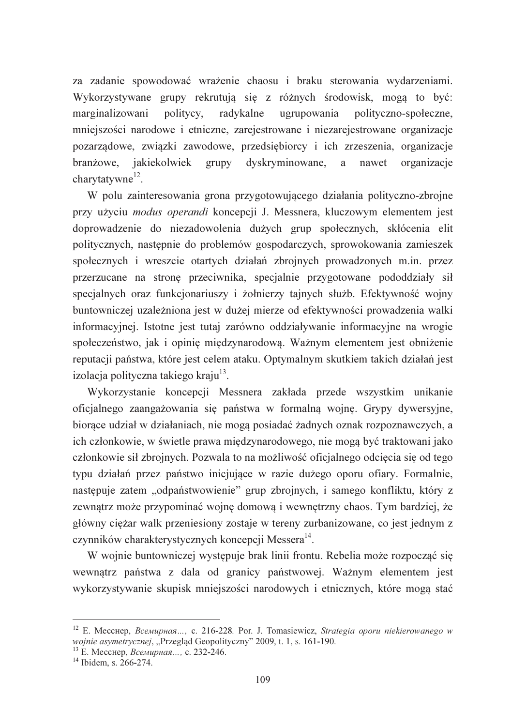za zadanie spowodować wrażenie chaosu i braku sterowania wydarzeniami. Wykorzystywane grupy rekrutują się z różnych środowisk, mogą to być: marginalizowani politycy. radykalne ugrupowania polityczno-społeczne, mniejszości narodowe i etniczne, zarejestrowane i niezarejestrowane organizacje pozarządowe, związki zawodowe, przedsiębiorcy i ich zrzeszenia, organizacje branżowe, jakiekolwiek grupy dyskryminowane, a nawet organizacje charytatywne<sup>12</sup>.

W polu zainteresowania grona przygotowującego działania polityczno-zbrojne przy użyciu *modus operandi* koncepcji J. Messnera, kluczowym elementem jest doprowadzenie do niezadowolenia dużych grup społecznych, skłócenia elit politycznych, następnie do problemów gospodarczych, sprowokowania zamieszek społecznych i wreszcie otartych działań zbrojnych prowadzonych m.in. przez przerzucane na stronę przeciwnika, specjalnie przygotowane pododdziały sił specjalnych oraz funkcjonariuszy i żołnierzy tajnych służb. Efektywność wojny buntowniczej uzależniona jest w dużej mierze od efektywności prowadzenia walki informacyjnej. Istotne jest tutaj zarówno oddziaływanie informacyjne na wrogie społeczeństwo, jak i opinię międzynarodową. Ważnym elementem jest obniżenie reputacji państwa, które jest celem ataku. Optymalnym skutkiem takich działań jest izolacja polityczna takiego kraju<sup>13</sup>.

Wykorzystanie koncepcji Messnera zakłada przede wszystkim unikanie oficialnego zaangażowania się państwa w formalną wojnę. Grypy dywersyjne, biorace udział w działaniach, nie mogą posiadać żadnych oznak rozpoznawczych, a ich członkowie, w świetle prawa międzynarodowego, nie mogą być traktowani jako członkowie sił zbrojnych. Pozwala to na możliwość oficjalnego odcięcia się od tego typu działań przez państwo inicjujące w razie dużego oporu ofiary. Formalnie, następuje zatem "odpaństwowienie" grup zbrojnych, i samego konfliktu, który z zewnątrz może przypominać wojnę domową i wewnętrzny chaos. Tym bardziej, że główny ciężar walk przeniesiony zostaje w tereny zurbanizowane, co jest jednym z czynników charakterystycznych koncepcji Messera<sup>14</sup>.

W wojnie buntowniczej występuje brak linii frontu. Rebelia może rozpocząć się wewnątrz państwa z dala od granicy państwowej. Ważnym elementem jest wykorzystywanie skupisk mniejszości narodowych i etnicznych, które mogą stać

<sup>&</sup>lt;sup>12</sup> E. Mecchep, *BceMuphan...*, c. 216-228. Por. J. Tomasiewicz, *Strategia oporu niekierowanego w* wojnie asymetrycznej, "Przegląd Geopolityczny" 2009, t. 1, s. 161-190.

<sup>13</sup> Е. Месснер, Всемирная..., с. 232-246.

 $14$  Ibidem. s. 266-274.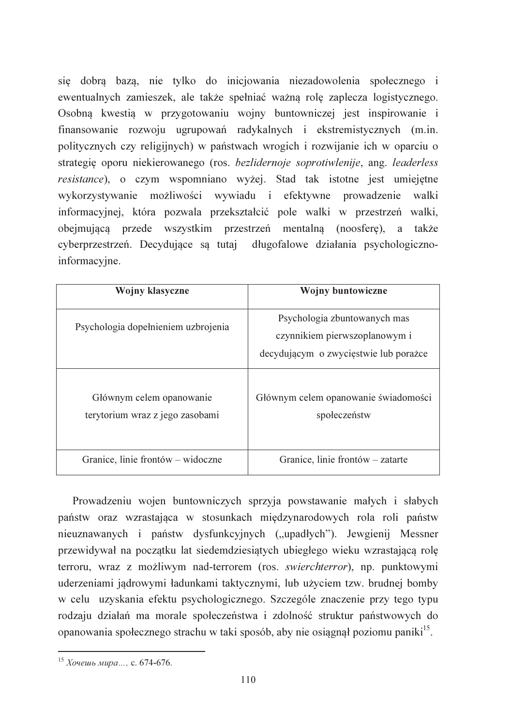sie dobra baza, nie tylko do inicjowania niezadowolenia społecznego i ewentualnych zamieszek, ale także spełniać ważną rolę zaplecza logistycznego. Osobną kwestią w przygotowaniu wojny buntowniczej jest inspirowanie i finansowanie rozwoju ugrupowań radykalnych i ekstremistycznych (m.in. politycznych czy religijnych) w państwach wrogich i rozwijanie ich w oparciu o strategie oporu niekierowanego (ros. bezlidernoje soprotiwlenije, ang. leaderless resistance), o czym wspomniano wyżej. Stad tak istotne jest umiejętne wykorzystywanie możliwości wywiadu i efektywne prowadzenie walki informacyjnej, która pozwala przekształcić pole walki w przestrzeń walki, obejmujaca przede wszystkim przestrzeń mentalna (noosfere), a także cyberprzestrzeń. Decydujące sa tutaj długofalowe działania psychologicznoinformacyjne.

| Wojny klasyczne                                             | <b>Wojny buntowiczne</b>                                                                               |
|-------------------------------------------------------------|--------------------------------------------------------------------------------------------------------|
| Psychologia dopełnieniem uzbrojenia                         | Psychologia zbuntowanych mas<br>czynnikiem pierwszoplanowym i<br>decydującym o zwycięstwie lub porażce |
| Głównym celem opanowanie<br>terytorium wraz z jego zasobami | Głównym celem opanowanie świadomości<br>społeczeństw                                                   |
| Granice, linie frontów – widoczne                           | Granice, linie frontów – zatarte                                                                       |

Prowadzeniu wojen buntowniczych sprzyja powstawanie małych i słabych państw oraz wzrastająca w stosunkach międzynarodowych rola roli państw nieuznawanych i państw dysfunkcyjnych ("upadłych"). Jewgienij Messner przewidywał na początku lat siedemdziesiątych ubiegłego wieku wzrastającą rolę terroru, wraz z możliwym nad-terrorem (ros. swierchterror), np. punktowymi uderzeniami jądrowymi ładunkami taktycznymi, lub użyciem tzw. brudnej bomby w celu uzyskania efektu psychologicznego. Szczególe znaczenie przy tego typu rodzaju działań ma morale społeczeństwa i zdolność struktur państwowych do opanowania społecznego strachu w taki sposób, aby nie osiągnął poziomu paniki<sup>15</sup>.

<sup>&</sup>lt;sup>15</sup> *Xoyeuub Mupa...*, c. 674-676.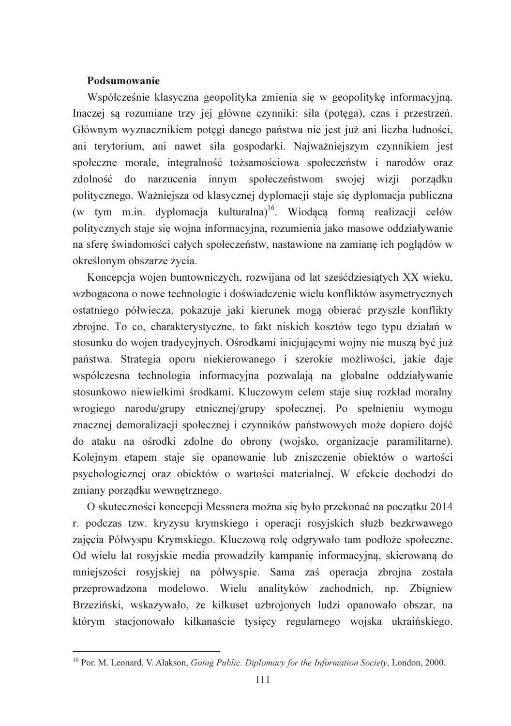#### Podsumowanie

Współcześnie klasyczna geopolityka zmienia się w geopolitykę informacyjną. Inaczej są rozumiane trzy jej główne czynniki: siła (potęga), czas i przestrzeń. Głównym wyznacznikiem potegi danego państwa nie jest już ani liczba ludności, ani terytorium, ani nawet siła gospodarki. Najważniejszym czynnikiem jest społeczne morale, integralność tożsamościowa społeczeństw i narodów oraz zdolność do narzucenia innym społeczeństwom swojej wizji porządku politycznego. Ważniejsza od klasycznej dyplomacji staje się dyplomacja publiczna (w tym m.in. dyplomacja kulturalna)<sup>16</sup>. Wiodącą formą realizacji celów politycznych staje się wojna informacyjna, rozumienia jako masowe oddziaływanie na sfere świadomości całych społeczeństw, nastawione na zamiane ich pogladów w określonym obszarze życia.

Koncepcia wojen buntowniczych, rozwijana od lat sześćdziesiatych XX wieku, wzbogacona o nowe technologie i doświadczenie wielu konfliktów asymetrycznych ostatniego półwiecza, pokazuje jaki kierunek mogą obierać przyszłe konflikty zbrojne. To co, charakterystyczne, to fakt niskich kosztów tego typu działań w stosunku do wojen tradycyjnych. Ośrodkami inicjującymi wojny nie muszą być już państwa. Strategia oporu niekierowanego i szerokie możliwości, jakie daje współczesna technologia informacyjna pozwalają na globalne oddziaływanie stosunkowo niewielkimi środkami. Kluczowym celem staje siuę rozkład moralny wrogiego narodu/grupy etnicznej/grupy społecznej. Po spełnieniu wymogu znacznej demoralizacji społecznej i czynników państwowych może dopiero dojść do ataku na ośrodki zdolne do obrony (wojsko, organizacje paramilitarne). Kolejnym etapem staje się opanowanie lub zniszczenie obiektów o wartości psychologicznej oraz obiektów o wartości materialnej. W efekcie dochodzi do zmiany porządku wewnętrznego.

O skuteczności koncepcji Messnera można się było przekonać na początku 2014 r. podczas tzw. kryzysu krymskiego i operacji rosyjskich służb bezkrwawego zajęcia Półwyspu Krymskiego. Kluczowa rolę odgrywało tam podłoże społeczne. Od wielu lat rosyjskie media prowadziły kampanię informacyjną, skierowaną do mniejszości rosyjskiej na półwyspie. Sama zaś operacja zbrojna została przeprowadzona modelowo. Wielu analityków zachodnich, np. Zbigniew Brzeziński, wskazywało, że kilkuset uzbrojonych ludzi opanowało obszar, na którym stacjonowało kilkanaście tysiecy regularnego wojska ukraińskiego.

<sup>&</sup>lt;sup>16</sup> Por. M. Leonard, V. Alakson, *Going Public. Diplomacy for the Information Society*, London, 2000.